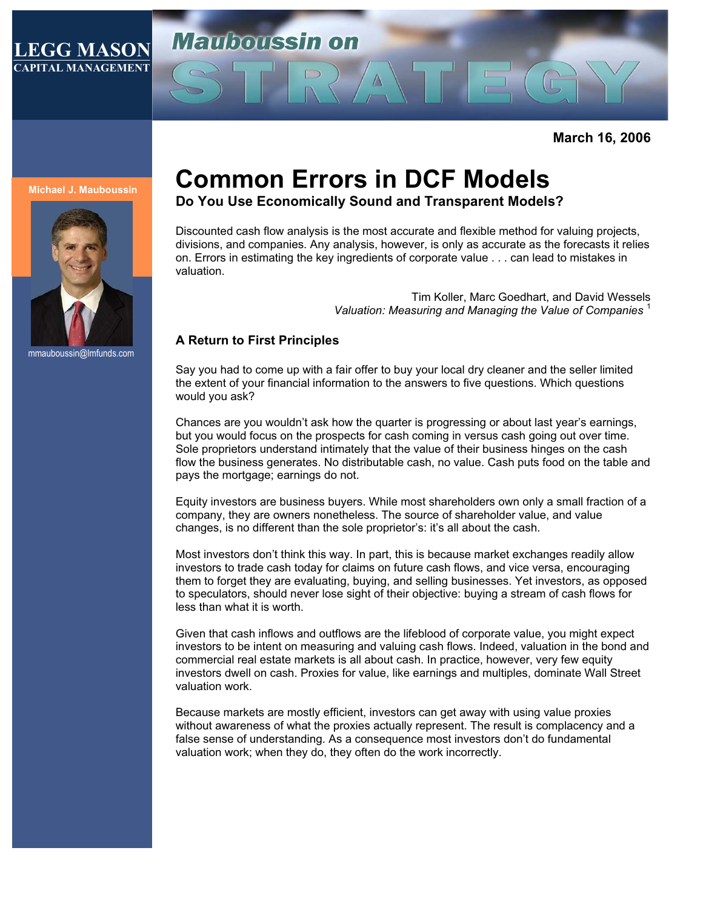### **LEGG MASON CAPITAL MANAGEMENT**

# **Mariboussin on**

**March 16, 2006** 

#### **Michael J. Mauboussin**



mmauboussin@lmfunds.com

## **Common Errors in DCF Models**

**Do You Use Economically Sound and Transparent Models?** 

Discounted cash flow analysis is the most accurate and flexible method for valuing projects, divisions, and companies. Any analysis, however, is only as accurate as the forecasts it relies on. Errors in estimating the key ingredients of corporate value . . . can lead to mistakes in valuation.

> Tim Koller, Marc Goedhart, and David Wessels *Valuation: Measuring and Managing the Value of Companies* <sup>1</sup>

#### **A Return to First Principles**

Say you had to come up with a fair offer to buy your local dry cleaner and the seller limited the extent of your financial information to the answers to five questions. Which questions would you ask?

Chances are you wouldn't ask how the quarter is progressing or about last year's earnings, but you would focus on the prospects for cash coming in versus cash going out over time. Sole proprietors understand intimately that the value of their business hinges on the cash flow the business generates. No distributable cash, no value. Cash puts food on the table and pays the mortgage; earnings do not.

Equity investors are business buyers. While most shareholders own only a small fraction of a company, they are owners nonetheless. The source of shareholder value, and value changes, is no different than the sole proprietor's: it's all about the cash.

Most investors don't think this way. In part, this is because market exchanges readily allow investors to trade cash today for claims on future cash flows, and vice versa, encouraging them to forget they are evaluating, buying, and selling businesses. Yet investors, as opposed to speculators, should never lose sight of their objective: buying a stream of cash flows for less than what it is worth.

Given that cash inflows and outflows are the lifeblood of corporate value, you might expect investors to be intent on measuring and valuing cash flows. Indeed, valuation in the bond and commercial real estate markets is all about cash. In practice, however, very few equity investors dwell on cash. Proxies for value, like earnings and multiples, dominate Wall Street valuation work.

Because markets are mostly efficient, investors can get away with using value proxies without awareness of what the proxies actually represent. The result is complacency and a false sense of understanding. As a consequence most investors don't do fundamental valuation work; when they do, they often do the work incorrectly.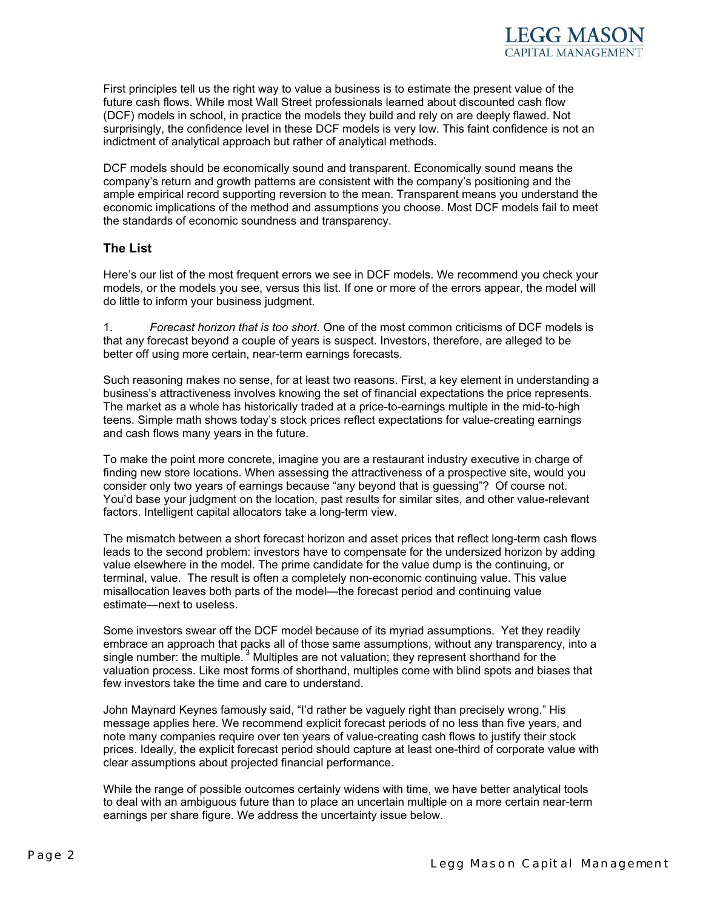

First principles tell us the right way to value a business is to estimate the present value of the future cash flows. While most Wall Street professionals learned about discounted cash flow (DCF) models in school, in practice the models they build and rely on are deeply flawed. Not surprisingly, the confidence level in these DCF models is very low. This faint confidence is not an indictment of analytical approach but rather of analytical methods.

DCF models should be economically sound and transparent. Economically sound means the company's return and growth patterns are consistent with the company's positioning and the ample empirical record supporting reversion to the mean. Transparent means you understand the economic implications of the method and assumptions you choose. Most DCF models fail to meet the standards of economic soundness and transparency.

#### **The List**

Here's our list of the most frequent errors we see in DCF models. We recommend you check your models, or the models you see, versus this list. If one or more of the errors appear, the model will do little to inform your business judgment.

1. *Forecast horizon that is too short.* One of the most common criticisms of DCF models is that any forecast beyond a couple of years is suspect. Investors, therefore, are alleged to be better off using more certain, near-term earnings forecasts.

Such reasoning makes no sense, for at least two reasons. First, a key element in understanding a business's attractiveness involves knowing the set of financial expectations the price represents. The market as a whole has historically traded at a price-to-earnings multiple in the mid-to-high teens. Simple math shows today's stock prices reflect expectations for value-creating earnings and cash flows many years in the future.

To make the point more concrete, imagine you are a restaurant industry executive in charge of finding new store locations. When assessing the attractiveness of a prospective site, would you consider only two years of earnings because "any beyond that is guessing"? Of course not. You'd base your judgment on the location, past results for similar sites, and other value-relevant factors. Intelligent capital allocators take a long-term view.

The mismatch between a short forecast horizon and asset prices that reflect long-term cash flows leads to the second problem: investors have to compensate for the undersized horizon by adding value elsewhere in the model. The prime candidate for the value dump is the continuing, or terminal, value. The result is often a completely non-economic continuing value. This value misallocation leaves both parts of the model—the forecast period and continuing value estimate—next to useless.

Some investors swear off the DCF model because of its myriad assumptions. Yet they readily embrace an approach that packs all of those same assumptions, without any transparency, into a single number: the multiple.<sup>3</sup> Multiples are not valuation; they represent shorthand for the valuation process. Like most forms of shorthand, multiples come with blind spots and biases that few investors take the time and care to understand.

John Maynard Keynes famously said, "I'd rather be vaguely right than precisely wrong." His message applies here. We recommend explicit forecast periods of no less than five years, and note many companies require over ten years of value-creating cash flows to justify their stock prices. Ideally, the explicit forecast period should capture at least one-third of corporate value with clear assumptions about projected financial performance.

While the range of possible outcomes certainly widens with time, we have better analytical tools to deal with an ambiguous future than to place an uncertain multiple on a more certain near-term earnings per share figure. We address the uncertainty issue below.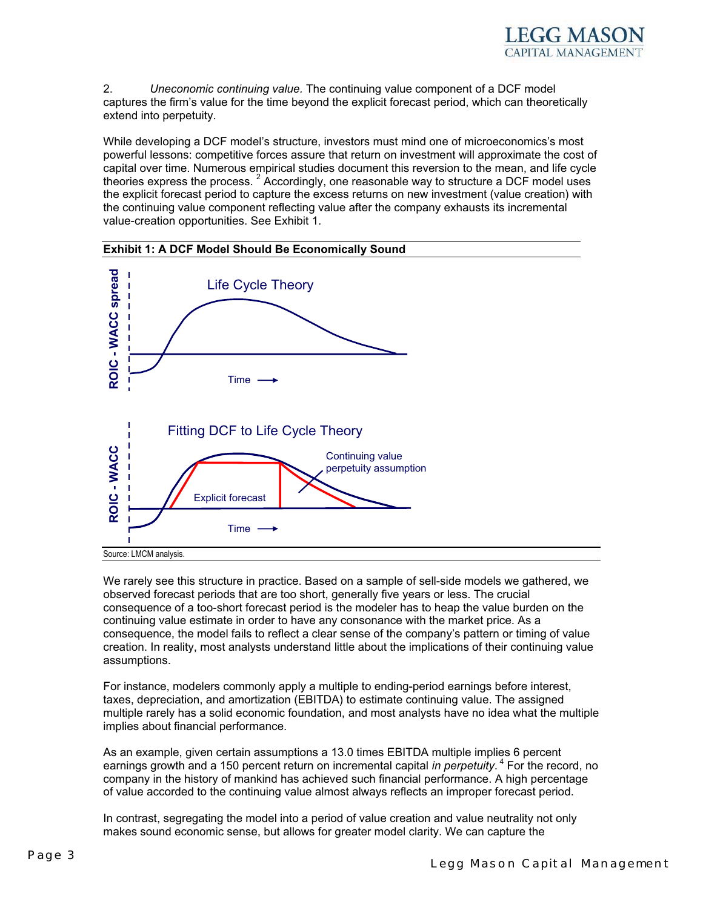

2. *Uneconomic continuing value.* The continuing value component of a DCF model captures the firm's value for the time beyond the explicit forecast period, which can theoretically extend into perpetuity.

While developing a DCF model's structure, investors must mind one of microeconomics's most powerful lessons: competitive forces assure that return on investment will approximate the cost of capital over time. Numerous empirical studies document this reversion to the mean, and life cycle theories express the process.  $2$  Accordingly, one reasonable way to structure a DCF model uses the explicit forecast period to capture the excess returns on new investment (value creation) with the continuing value component reflecting value after the company exhausts its incremental value-creation opportunities. See Exhibit 1.



We rarely see this structure in practice. Based on a sample of sell-side models we gathered, we observed forecast periods that are too short, generally five years or less. The crucial consequence of a too-short forecast period is the modeler has to heap the value burden on the continuing value estimate in order to have any consonance with the market price. As a consequence, the model fails to reflect a clear sense of the company's pattern or timing of value creation. In reality, most analysts understand little about the implications of their continuing value assumptions.

For instance, modelers commonly apply a multiple to ending-period earnings before interest, taxes, depreciation, and amortization (EBITDA) to estimate continuing value. The assigned multiple rarely has a solid economic foundation, and most analysts have no idea what the multiple implies about financial performance.

As an example, given certain assumptions a 13.0 times EBITDA multiple implies 6 percent earnings growth and a 150 percent return on incremental capital *in perpetuity*.<sup>4</sup> For the record, no company in the history of mankind has achieved such financial performance. A high percentage of value accorded to the continuing value almost always reflects an improper forecast period.

In contrast, segregating the model into a period of value creation and value neutrality not only makes sound economic sense, but allows for greater model clarity. We can capture the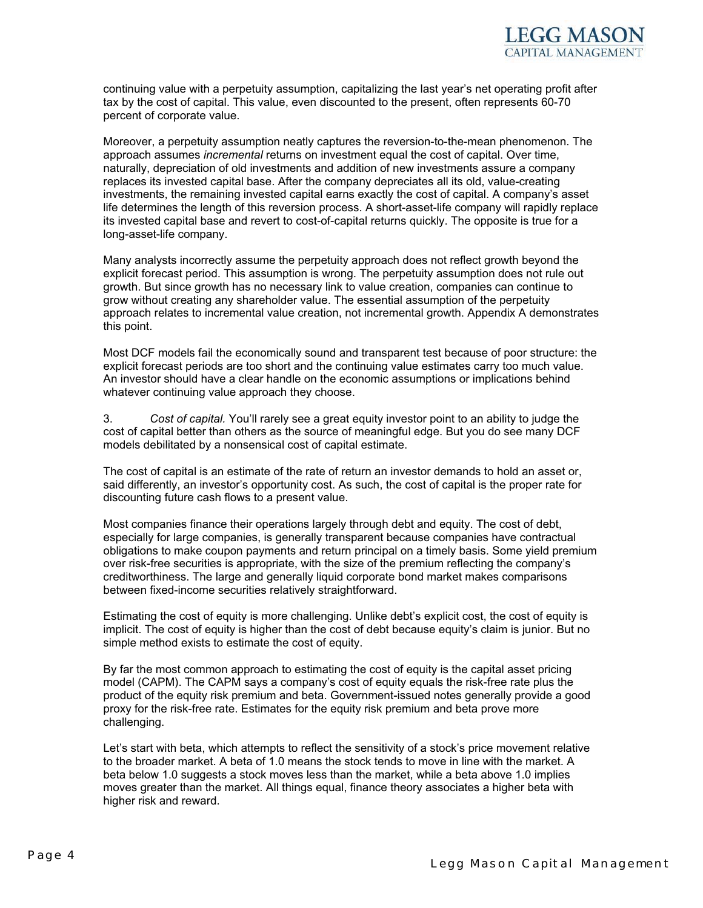

continuing value with a perpetuity assumption, capitalizing the last year's net operating profit after tax by the cost of capital. This value, even discounted to the present, often represents 60-70 percent of corporate value.

Moreover, a perpetuity assumption neatly captures the reversion-to-the-mean phenomenon. The approach assumes *incremental* returns on investment equal the cost of capital. Over time, naturally, depreciation of old investments and addition of new investments assure a company replaces its invested capital base. After the company depreciates all its old, value-creating investments, the remaining invested capital earns exactly the cost of capital. A company's asset life determines the length of this reversion process. A short-asset-life company will rapidly replace its invested capital base and revert to cost-of-capital returns quickly. The opposite is true for a long-asset-life company.

Many analysts incorrectly assume the perpetuity approach does not reflect growth beyond the explicit forecast period. This assumption is wrong. The perpetuity assumption does not rule out growth. But since growth has no necessary link to value creation, companies can continue to grow without creating any shareholder value. The essential assumption of the perpetuity approach relates to incremental value creation, not incremental growth. Appendix A demonstrates this point.

Most DCF models fail the economically sound and transparent test because of poor structure: the explicit forecast periods are too short and the continuing value estimates carry too much value. An investor should have a clear handle on the economic assumptions or implications behind whatever continuing value approach they choose.

3. *Cost of capital.* You'll rarely see a great equity investor point to an ability to judge the cost of capital better than others as the source of meaningful edge. But you do see many DCF models debilitated by a nonsensical cost of capital estimate.

The cost of capital is an estimate of the rate of return an investor demands to hold an asset or, said differently, an investor's opportunity cost. As such, the cost of capital is the proper rate for discounting future cash flows to a present value.

Most companies finance their operations largely through debt and equity. The cost of debt, especially for large companies, is generally transparent because companies have contractual obligations to make coupon payments and return principal on a timely basis. Some yield premium over risk-free securities is appropriate, with the size of the premium reflecting the company's creditworthiness. The large and generally liquid corporate bond market makes comparisons between fixed-income securities relatively straightforward.

Estimating the cost of equity is more challenging. Unlike debt's explicit cost, the cost of equity is implicit. The cost of equity is higher than the cost of debt because equity's claim is junior. But no simple method exists to estimate the cost of equity.

By far the most common approach to estimating the cost of equity is the capital asset pricing model (CAPM). The CAPM says a company's cost of equity equals the risk-free rate plus the product of the equity risk premium and beta. Government-issued notes generally provide a good proxy for the risk-free rate. Estimates for the equity risk premium and beta prove more challenging.

Let's start with beta, which attempts to reflect the sensitivity of a stock's price movement relative to the broader market. A beta of 1.0 means the stock tends to move in line with the market. A beta below 1.0 suggests a stock moves less than the market, while a beta above 1.0 implies moves greater than the market. All things equal, finance theory associates a higher beta with higher risk and reward.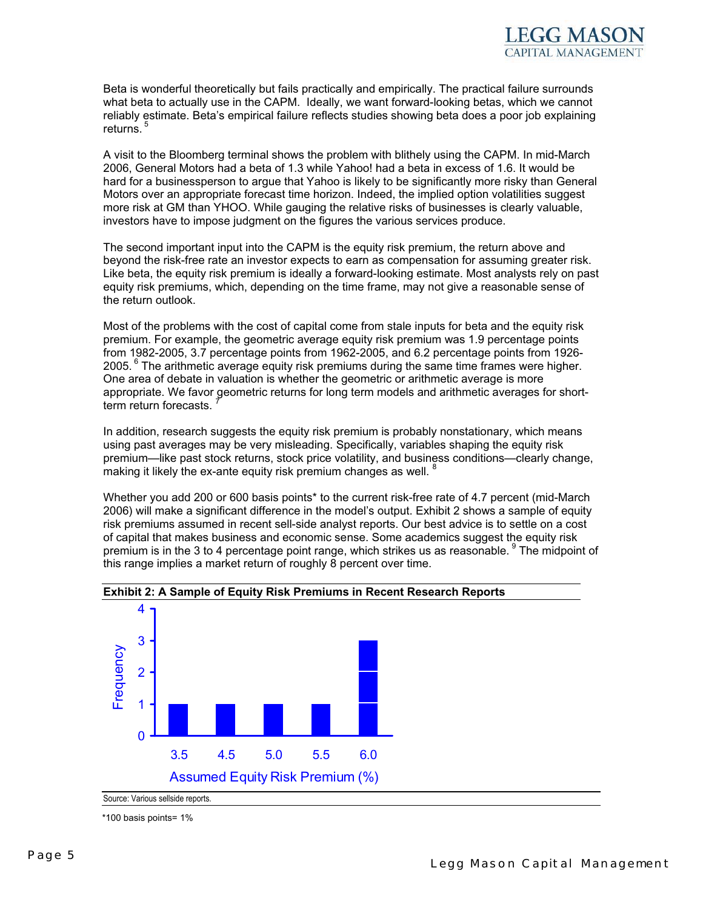Beta is wonderful theoretically but fails practically and empirically. The practical failure surrounds what beta to actually use in the CAPM. Ideally, we want forward-looking betas, which we cannot reliably estimate. Beta's empirical failure reflects studies showing beta does a poor job explaining returns.<sup>5</sup>

A visit to the Bloomberg terminal shows the problem with blithely using the CAPM. In mid-March 2006, General Motors had a beta of 1.3 while Yahoo! had a beta in excess of 1.6. It would be hard for a businessperson to argue that Yahoo is likely to be significantly more risky than General Motors over an appropriate forecast time horizon. Indeed, the implied option volatilities suggest more risk at GM than YHOO. While gauging the relative risks of businesses is clearly valuable, investors have to impose judgment on the figures the various services produce.

The second important input into the CAPM is the equity risk premium, the return above and beyond the risk-free rate an investor expects to earn as compensation for assuming greater risk. Like beta, the equity risk premium is ideally a forward-looking estimate. Most analysts rely on past equity risk premiums, which, depending on the time frame, may not give a reasonable sense of the return outlook.

Most of the problems with the cost of capital come from stale inputs for beta and the equity risk premium. For example, the geometric average equity risk premium was 1.9 percentage points from 1982-2005, 3.7 percentage points from 1962-2005, and 6.2 percentage points from 1926- 2005.  $6$  The arithmetic average equity risk premiums during the same time frames were higher. One area of debate in valuation is whether the geometric or arithmetic average is more appropriate. We favor geometric returns for long term models and arithmetic averages for shortterm return forecasts.

In addition, research suggests the equity risk premium is probably nonstationary, which means using past averages may be very misleading. Specifically, variables shaping the equity risk premium—like past stock returns, stock price volatility, and business conditions—clearly change, making it likely the ex-ante equity risk premium changes as well.

Whether you add 200 or 600 basis points\* to the current risk-free rate of 4.7 percent (mid-March 2006) will make a significant difference in the model's output. Exhibit 2 shows a sample of equity risk premiums assumed in recent sell-side analyst reports. Our best advice is to settle on a cost of capital that makes business and economic sense. Some academics suggest the equity risk premium is in the 3 to 4 percentage point range, which strikes us as reasonable. <sup>9</sup> The midpoint of this range implies a market return of roughly 8 percent over time.



**Exhibit 2: A Sample of Equity Risk Premiums in Recent Research Reports** 

Source: Various sellside reports. \*100 basis points= 1%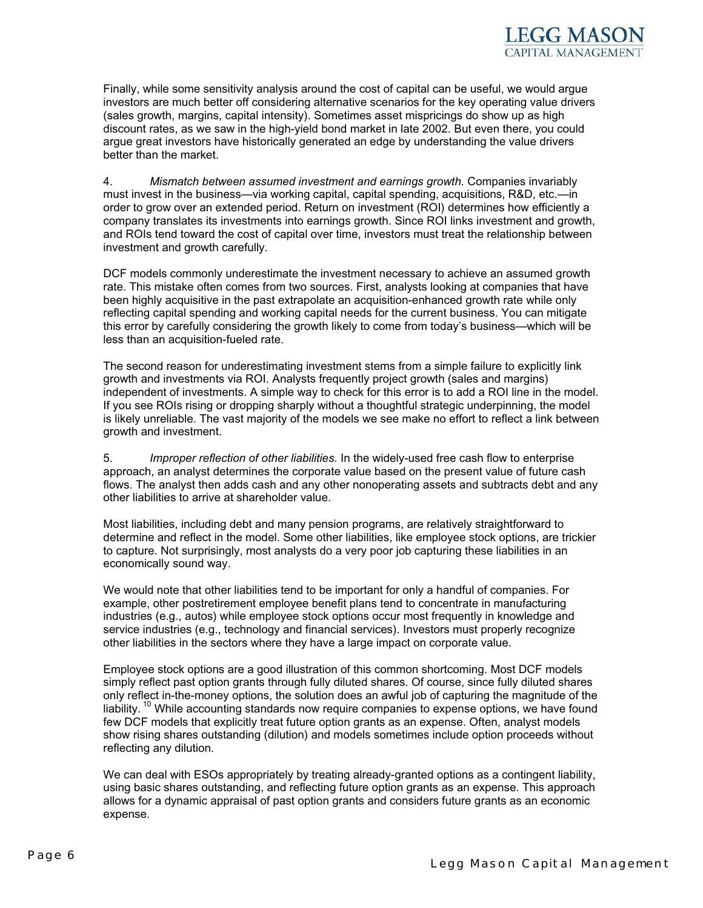Finally, while some sensitivity analysis around the cost of capital can be useful, we would argue investors are much better off considering alternative scenarios for the key operating value drivers (sales growth, margins, capital intensity). Sometimes asset mispricings do show up as high discount rates, as we saw in the high-yield bond market in late 2002. But even there, you could argue great investors have historically generated an edge by understanding the value drivers better than the market.

4. *Mismatch between assumed investment and earnings growth.* Companies invariably must invest in the business—via working capital, capital spending, acquisitions, R&D, etc.—in order to grow over an extended period. Return on investment (ROI) determines how efficiently a company translates its investments into earnings growth. Since ROI links investment and growth, and ROIs tend toward the cost of capital over time, investors must treat the relationship between investment and growth carefully.

DCF models commonly underestimate the investment necessary to achieve an assumed growth rate. This mistake often comes from two sources. First, analysts looking at companies that have been highly acquisitive in the past extrapolate an acquisition-enhanced growth rate while only reflecting capital spending and working capital needs for the current business. You can mitigate this error by carefully considering the growth likely to come from today's business—which will be less than an acquisition-fueled rate.

The second reason for underestimating investment stems from a simple failure to explicitly link growth and investments via ROI. Analysts frequently project growth (sales and margins) independent of investments. A simple way to check for this error is to add a ROI line in the model. If you see ROIs rising or dropping sharply without a thoughtful strategic underpinning, the model is likely unreliable. The vast majority of the models we see make no effort to reflect a link between growth and investment.

5. *Improper reflection of other liabilities.* In the widely-used free cash flow to enterprise approach, an analyst determines the corporate value based on the present value of future cash flows. The analyst then adds cash and any other nonoperating assets and subtracts debt and any other liabilities to arrive at shareholder value.

Most liabilities, including debt and many pension programs, are relatively straightforward to determine and reflect in the model. Some other liabilities, like employee stock options, are trickier to capture. Not surprisingly, most analysts do a very poor job capturing these liabilities in an economically sound way.

We would note that other liabilities tend to be important for only a handful of companies. For example, other postretirement employee benefit plans tend to concentrate in manufacturing industries (e.g., autos) while employee stock options occur most frequently in knowledge and service industries (e.g., technology and financial services). Investors must properly recognize other liabilities in the sectors where they have a large impact on corporate value.

Employee stock options are a good illustration of this common shortcoming. Most DCF models simply reflect past option grants through fully diluted shares. Of course, since fully diluted shares only reflect in-the-money options, the solution does an awful job of capturing the magnitude of the liability.<sup>10</sup> While accounting standards now require companies to expense options, we have found few DCF models that explicitly treat future option grants as an expense. Often, analyst models show rising shares outstanding (dilution) and models sometimes include option proceeds without reflecting any dilution.

We can deal with ESOs appropriately by treating already-granted options as a contingent liability, using basic shares outstanding, and reflecting future option grants as an expense. This approach allows for a dynamic appraisal of past option grants and considers future grants as an economic expense.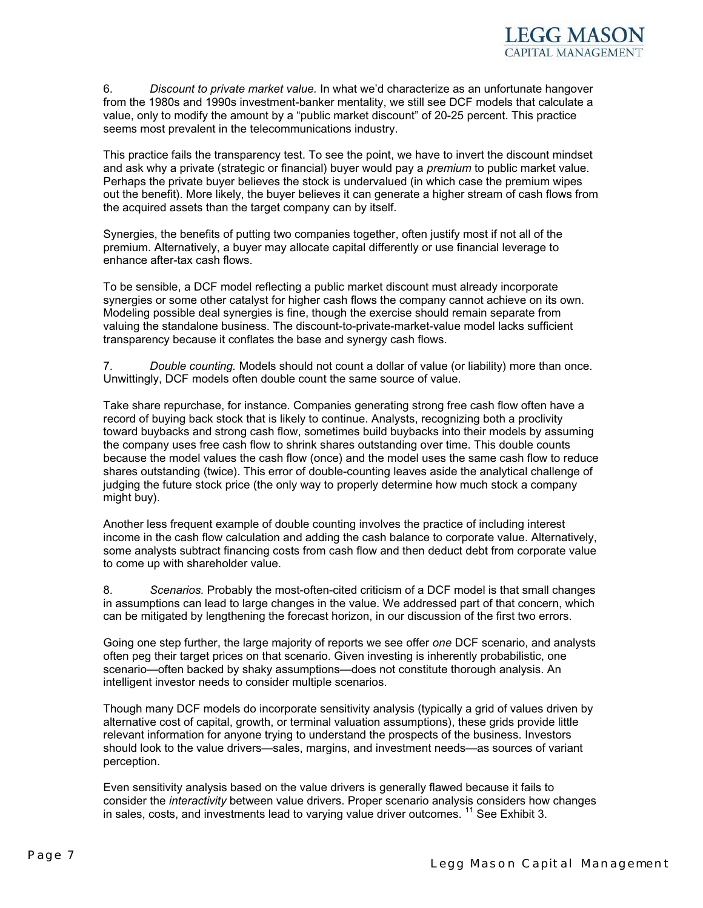6. *Discount to private market value.* In what we'd characterize as an unfortunate hangover from the 1980s and 1990s investment-banker mentality, we still see DCF models that calculate a value, only to modify the amount by a "public market discount" of 20-25 percent. This practice seems most prevalent in the telecommunications industry.

This practice fails the transparency test. To see the point, we have to invert the discount mindset and ask why a private (strategic or financial) buyer would pay a *premium* to public market value. Perhaps the private buyer believes the stock is undervalued (in which case the premium wipes out the benefit). More likely, the buyer believes it can generate a higher stream of cash flows from the acquired assets than the target company can by itself.

Synergies, the benefits of putting two companies together, often justify most if not all of the premium. Alternatively, a buyer may allocate capital differently or use financial leverage to enhance after-tax cash flows.

To be sensible, a DCF model reflecting a public market discount must already incorporate synergies or some other catalyst for higher cash flows the company cannot achieve on its own. Modeling possible deal synergies is fine, though the exercise should remain separate from valuing the standalone business. The discount-to-private-market-value model lacks sufficient transparency because it conflates the base and synergy cash flows.

7. *Double counting.* Models should not count a dollar of value (or liability) more than once. Unwittingly, DCF models often double count the same source of value.

Take share repurchase, for instance. Companies generating strong free cash flow often have a record of buying back stock that is likely to continue. Analysts, recognizing both a proclivity toward buybacks and strong cash flow, sometimes build buybacks into their models by assuming the company uses free cash flow to shrink shares outstanding over time. This double counts because the model values the cash flow (once) and the model uses the same cash flow to reduce shares outstanding (twice). This error of double-counting leaves aside the analytical challenge of judging the future stock price (the only way to properly determine how much stock a company might buy).

Another less frequent example of double counting involves the practice of including interest income in the cash flow calculation and adding the cash balance to corporate value. Alternatively, some analysts subtract financing costs from cash flow and then deduct debt from corporate value to come up with shareholder value.

8. *Scenarios.* Probably the most-often-cited criticism of a DCF model is that small changes in assumptions can lead to large changes in the value. We addressed part of that concern, which can be mitigated by lengthening the forecast horizon, in our discussion of the first two errors.

Going one step further, the large majority of reports we see offer *one* DCF scenario, and analysts often peg their target prices on that scenario. Given investing is inherently probabilistic, one scenario—often backed by shaky assumptions—does not constitute thorough analysis. An intelligent investor needs to consider multiple scenarios.

Though many DCF models do incorporate sensitivity analysis (typically a grid of values driven by alternative cost of capital, growth, or terminal valuation assumptions), these grids provide little relevant information for anyone trying to understand the prospects of the business. Investors should look to the value drivers—sales, margins, and investment needs—as sources of variant perception.

Even sensitivity analysis based on the value drivers is generally flawed because it fails to consider the *interactivity* between value drivers. Proper scenario analysis considers how changes in sales, costs, and investments lead to varying value driver outcomes.<sup>11</sup> See Exhibit 3.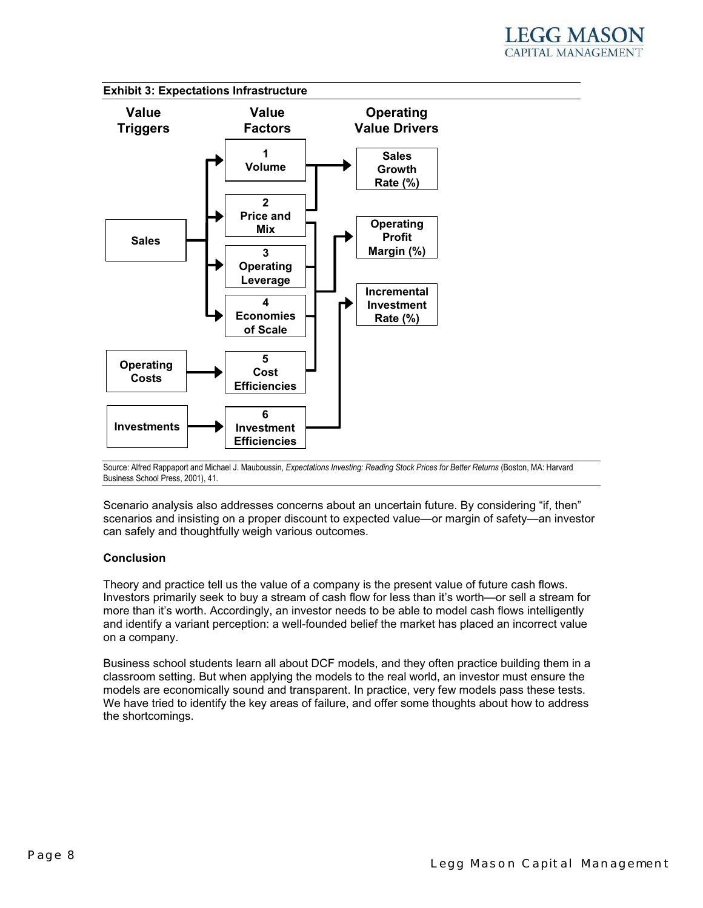

Source: Alfred Rappaport and Michael J. Mauboussin, *Expectations Investing: Reading Stock Prices for Better Returns* (Boston, MA: Harvard Business School Press, 2001), 41.

Scenario analysis also addresses concerns about an uncertain future. By considering "if, then" scenarios and insisting on a proper discount to expected value—or margin of safety—an investor can safely and thoughtfully weigh various outcomes.

#### **Conclusion**

Theory and practice tell us the value of a company is the present value of future cash flows. Investors primarily seek to buy a stream of cash flow for less than it's worth—or sell a stream for more than it's worth. Accordingly, an investor needs to be able to model cash flows intelligently and identify a variant perception: a well-founded belief the market has placed an incorrect value on a company.

Business school students learn all about DCF models, and they often practice building them in a classroom setting. But when applying the models to the real world, an investor must ensure the models are economically sound and transparent. In practice, very few models pass these tests. We have tried to identify the key areas of failure, and offer some thoughts about how to address the shortcomings.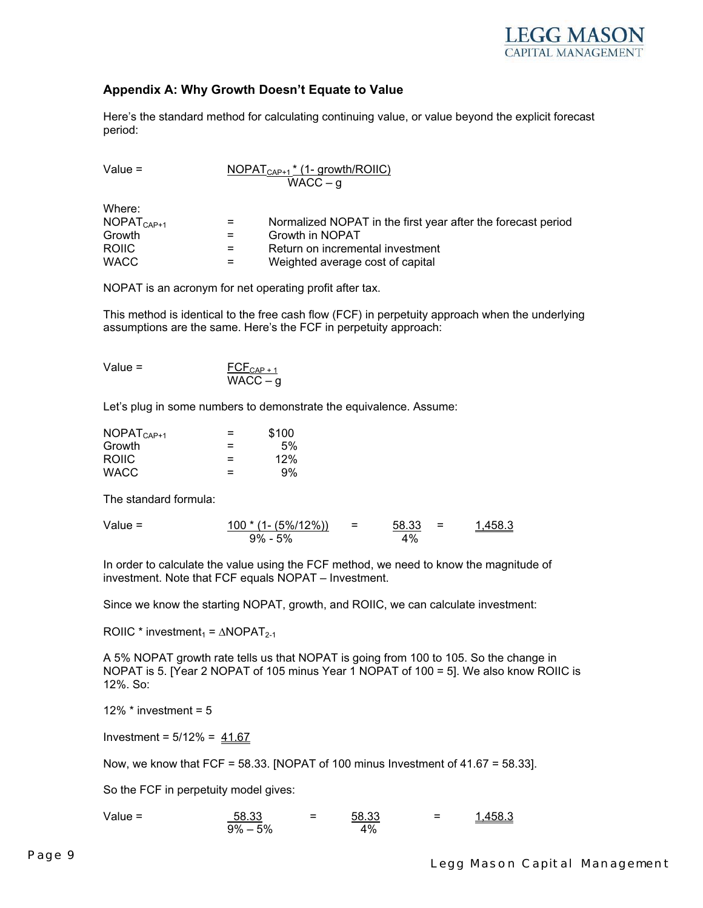

#### **Appendix A: Why Growth Doesn't Equate to Value**

Here's the standard method for calculating continuing value, or value beyond the explicit forecast period:

| Value $=$ | $NOPAT_{CAP+1}$ <sup>*</sup> (1- growth/ROIIC) |
|-----------|------------------------------------------------|
|           | $WACC - g$                                     |

| vvnere.      |     |                                                              |
|--------------|-----|--------------------------------------------------------------|
| $NOPATCAP+1$ | $=$ | Normalized NOPAT in the first year after the forecast period |
| Growth       | $=$ | Growth in NOPAT                                              |
| <b>ROIIC</b> | $=$ | Return on incremental investment                             |
| <b>WACC</b>  | $=$ | Weighted average cost of capital                             |
|              |     |                                                              |

NOPAT is an acronym for net operating profit after tax.

This method is identical to the free cash flow (FCF) in perpetuity approach when the underlying assumptions are the same. Here's the FCF in perpetuity approach:

| Value $=$ | $\overline{FCE}_{CAP+1}$ |
|-----------|--------------------------|
|           | $WACC - g$               |

Let's plug in some numbers to demonstrate the equivalence. Assume:

| $NOPATCAP+1$ | $=$ | \$100 |
|--------------|-----|-------|
| Growth       | ⋍   | 5%    |
| <b>ROIIC</b> | $=$ | 12%   |
| <b>WACC</b>  | $=$ | 9%    |

The standard formula:

 $Mh$ 

Value = <u>100 \* (1- (5%/12%))</u> = <u>58.33</u> = <u>1,458.3</u>  $9\% - 5\%$  4%

In order to calculate the value using the FCF method, we need to know the magnitude of investment. Note that FCF equals NOPAT – Investment.

Since we know the starting NOPAT, growth, and ROIIC, we can calculate investment:

ROIIC \* investment<sub>1</sub> =  $\triangle NOPAT_{2-1}$ 

A 5% NOPAT growth rate tells us that NOPAT is going from 100 to 105. So the change in NOPAT is 5. [Year 2 NOPAT of 105 minus Year 1 NOPAT of 100 = 5]. We also know ROIIC is 12%. So:

12%  $*$  investment =  $5$ 

Investment =  $5/12\% = 41.67$ 

Now, we know that FCF =  $58.33$ . [NOPAT of 100 minus Investment of  $41.67 = 58.33$ ].

So the FCF in perpetuity model gives:

Value = The state state of the state of the state of the state of the state of the state of the state of the state o<br>The state of the state of the state of the state of the state of the state of the state of the state of t  $9\% - 5\%$  4%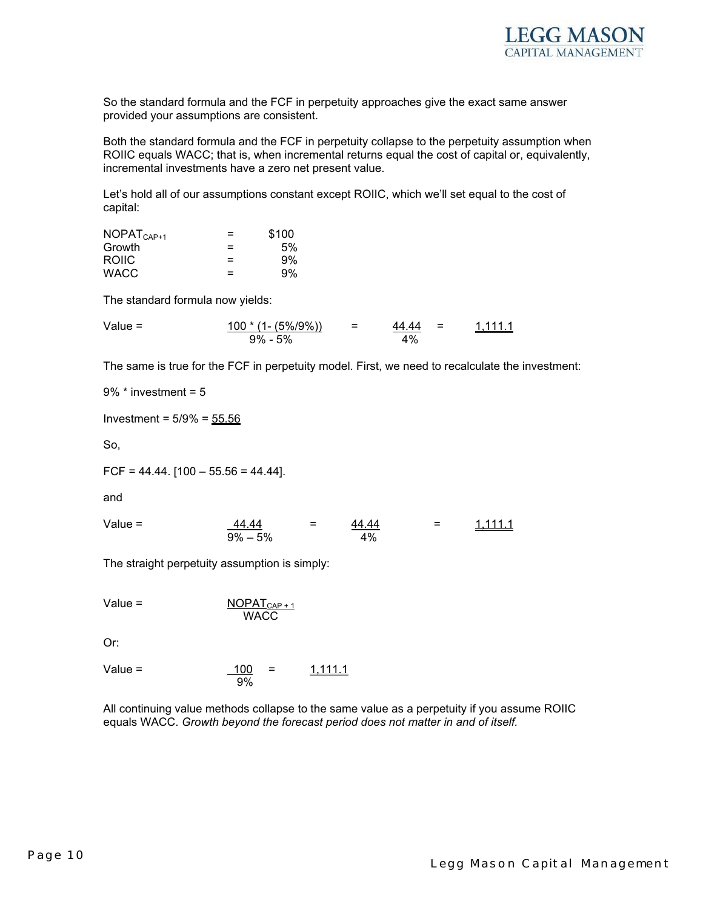

So the standard formula and the FCF in perpetuity approaches give the exact same answer provided your assumptions are consistent.

Both the standard formula and the FCF in perpetuity collapse to the perpetuity assumption when ROIIC equals WACC; that is, when incremental returns equal the cost of capital or, equivalently, incremental investments have a zero net present value.

Let's hold all of our assumptions constant except ROIIC, which we'll set equal to the cost of capital:

| $NOPATCAP+1$ | $=$ | \$100 |
|--------------|-----|-------|
| Growth       | =   | 5%    |
| <b>ROIIC</b> | $=$ | 9%    |
| <b>WACC</b>  | $=$ | 9%    |

The standard formula now yields:

Value = <u>100 \* (1- (5%/9%))</u> = <u>44.44</u> = <u>1,111.1</u>  $9\% - 5\%$  4%

The same is true for the FCF in perpetuity model. First, we need to recalculate the investment:

9% \* investment = 5

Investment =  $5/9\% = 55.56$ 

So,

 $FCF = 44.44$ .  $[100 - 55.56 = 44.44]$ .

and

Value =  $\frac{44.44}{4}$  =  $\frac{44.44}{4}$  =  $\frac{1,111.1}{4}$  $9\% - 5\%$  4%

The straight perpetuity assumption is simply:

Value = 
$$
\frac{\text{NOPAT}_{\text{CAP}+1}}{\text{WACC}}
$$

Or:

Value = 
$$
\frac{100}{9\%}
$$
 =  $\frac{1,111.1}{1,111.1}$ 

All continuing value methods collapse to the same value as a perpetuity if you assume ROIIC equals WACC. *Growth beyond the forecast period does not matter in and of itself.*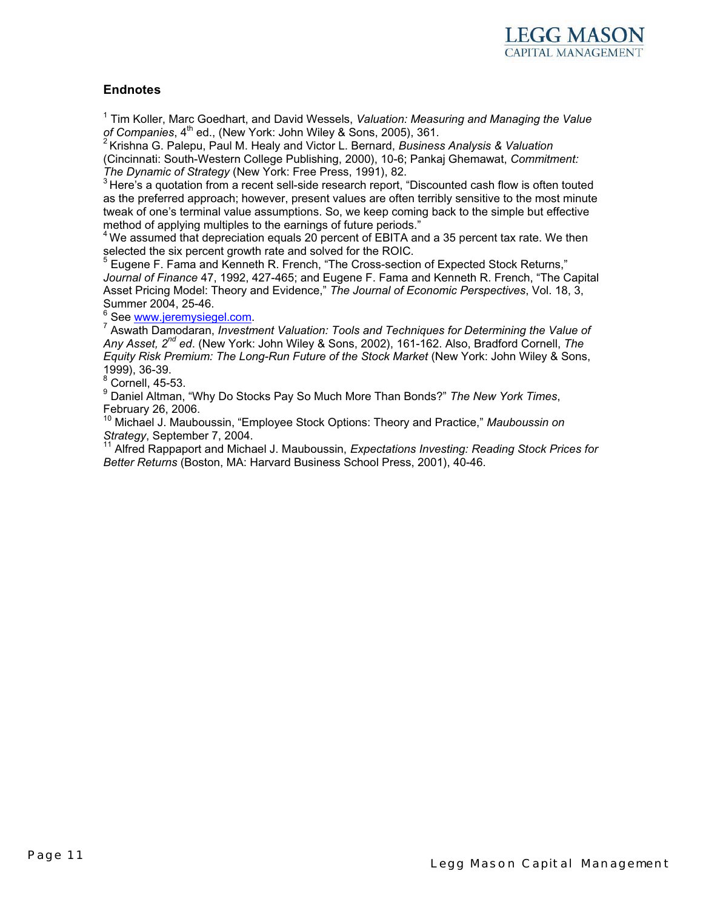

#### **Endnotes**

1 Tim Koller, Marc Goedhart, and David Wessels, *Valuation: Measuring and Managing the Value of Companies*, 4<sup>th</sup> ed., (New York: John Wiley & Sons, 2005), 361.<br><sup>2</sup> Krishna G. Palepu, Paul M. Healy and Victor L. Bernard, *Business Analysis & Valuation* 

(Cincinnati: South-Western College Publishing, 2000), 10-6; Pankaj Ghemawat, *Commitment:* 

*The Dynamic of Strategy* (New York: Free Press, 1991), 82.<br><sup>3</sup> Here's a quotation from a recent sell-side research report, "Discounted cash flow is often touted as the preferred approach; however, present values are often terribly sensitive to the most minute tweak of one's terminal value assumptions. So, we keep coming back to the simple but effective method of applying multiples to the earnings of future periods."

 $4$ We assumed that depreciation equals 20 percent of EBITA and a 35 percent tax rate. We then selected the six percent growth rate and solved for the ROIC.

<sup>5</sup> Eugene F. Fama and Kenneth R. French, "The Cross-section of Expected Stock Returns," *Journal of Finance* 47, 1992, 427-465; and Eugene F. Fama and Kenneth R. French, "The Capital Asset Pricing Model: Theory and Evidence," *The Journal of Economic Perspectives*, Vol. 18, 3, Summer 2004, 25-46.

<sup>6</sup> See <u>www.jeremysiegel.com</u>.<br><sup>7</sup> Asyrsth Demoderen, *Investa* 

 Aswath Damodaran, *Investment Valuation: Tools and Techniques for Determining the Value of Any Asset, 2nd ed*. (New York: John Wiley & Sons, 2002), 161-162. Also, Bradford Cornell, *The Equity Risk Premium: The Long-Run Future of the Stock Market* (New York: John Wiley & Sons, 1999), 36-39.

 $8$  Cornell, 45-53.

9 Daniel Altman, "Why Do Stocks Pay So Much More Than Bonds?" *The New York Times*, February 26, 2006.

10 Michael J. Mauboussin, "Employee Stock Options: Theory and Practice," *Mauboussin on* 

*Strategy*, September 7, 2004.<br><sup>11</sup> Alfred Rappaport and Michael J. Mauboussin, *Expectations Investing: Reading Stock Prices for Better Returns* (Boston, MA: Harvard Business School Press, 2001), 40-46.